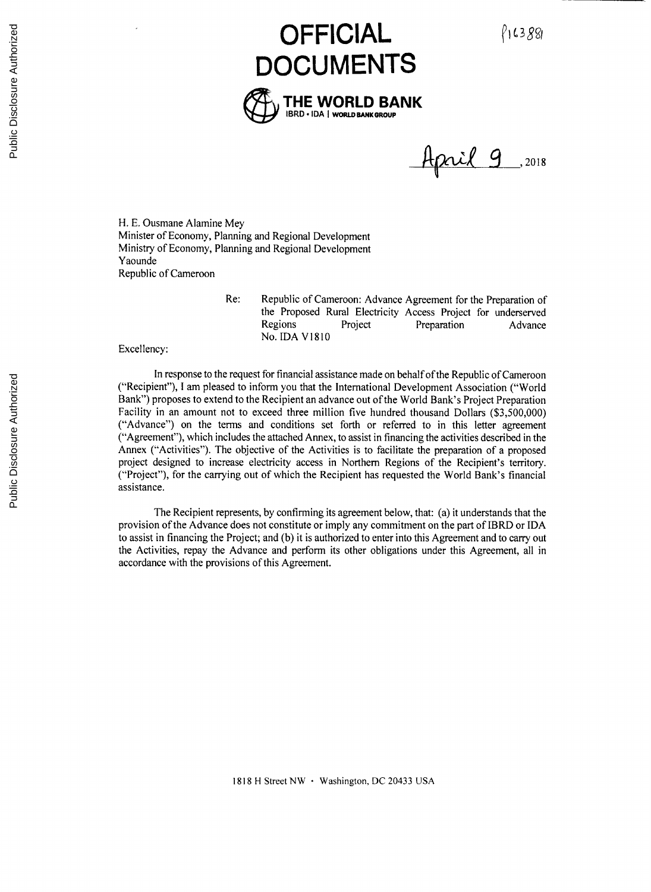P163881

# **OFFICIAL DOCUMENTS THE WORLD BANK** IBRD \* **IDA I WORLD BANKGROUP**

Haril 9 , 2018

H. **E.** Ousmane Alamine Mey Minister of Economy, Planning and Regional Development Ministry of Economy, Planning and Regional Development Yaounde Republic of Cameroon

> Re: Republic of Cameroon: Advance Agreement for the Preparation of the Proposed Rural Electricity Access Project for underserved Regions Project Preparation Advance No. **IDA V1810**

Excellency:

In response to the request for financial assistance made on behalf of the Republic of Cameroon ("Recipient"), **I** am pleased to inform you that the International Development Association ("World Bank") proposes to extend to the Recipient an advance out of the World Bank's Project Preparation Facility in an amount not to exceed three million five hundred thousand Dollars **(\$3,500,000)** ("Advance") on the terms and conditions set forth or referred to in this letter agreement ("Agreement"), which includes the attached Annex, to assist in financing the activities described in the Annex ("Activities"). The objective of the Activities is to facilitate the preparation of a proposed project designed to increase electricity access in Northern Regions of the Recipient's territory. ("Project"), for the carrying out of which the Recipient has requested the World Bank's financial assistance.

The Recipient represents, **by** confirming its agreement below, that: (a) it understands that the provision of the Advance does not constitute or imply any commitment on the part of IBRD or **IDA** to assist in financing the Project; and **(b)** it is authorized to enter into this Agreement and to carry out the Activities, repay the Advance and perform its other obligations under this Agreement, all in accordance with the provisions of this Agreement.

**1818** H Street NW \* Washington, **DC** 20433 **USA**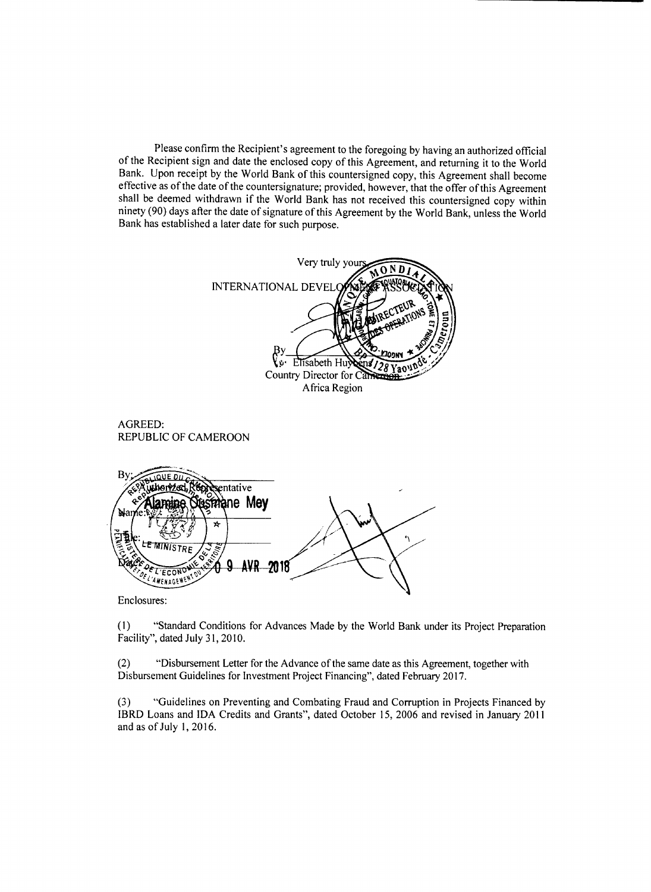Please confirm the Recipient's agreement to the foregoing **by** having an authorized official of the Recipient sign and date the enclosed copy of this Agreement, and returning it to the World Bank. Upon receipt **by** the World Bank of this countersigned copy, this Agreement shall become shall be deemed withdrawn if the World Bank has not received this countersigned copy within ninety **(90)** days after the date of signature of this Agreement **by** the World Bank, unless the World Bank has established a later date for such purpose.



Enclosures:

**(1)** "Standard Conditions for Advances Made **by** the World Bank under its Project Preparation Facility", dated July *31,* **2010.**

(2) "Disbursement Letter for the Advance of the same date as this Agreement, together with Disbursement Guidelines for Investment Project Financing", dated February **2017.**

*(3)* "Guidelines on Preventing and Combating Fraud and Corruption in Projects Financed **by** IBRD Loans and **IDA** Credits and Grants", dated October *15,* **2006** and revised in January 2011 and as of July **1, 2016.**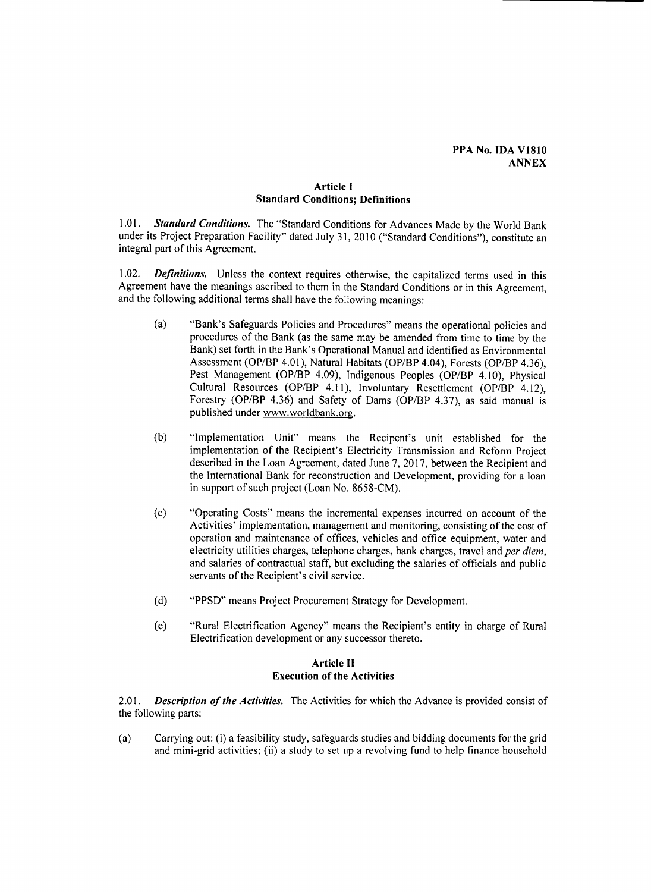## **PPA** No. **IDA V1810 ANNEX**

## **Article I Standard Conditions; Definitions**

*1.01. Standard Conditions.* The "Standard Conditions for Advances Made **by** the World Bank under its Project Preparation Facility" dated July *31,* **2010** ("Standard Conditions"), constitute an integral part of this Agreement.

1.02. *Definitions.* Unless the context requires otherwise, the capitalized terms used in this Agreement have the meanings ascribed to them in the Standard Conditions or in this Agreement, and the following additional terms shall have the following meanings:

- (a) "Bank's Safeguards Policies and Procedures" means the operational policies and procedures of the Bank (as the same may be amended from time to time **by** the Bank) set forth in the Bank's Operational Manual and identified as Environmental Assessment (OP/BP 4.01), Natural Habitats (OP/BP 4.04), Forests (OP/BP 4.36), Pest Management (OP/BP 4.09), Indigenous Peoples (OP/BP 4.10), Physical Cultural Resources (OP/BP **4.11),** Involuntary Resettlement (OP/BP 4.12), Forestry (OP/BP 4.36) and Safety of Dams (OP/BP 4.37), as said manual is published under www.worldbank.org.
- **(b)** "Implementation Unit" means the Recipent's unit established for the implementation of the Recipient's Electricity Transmission and Reform Project described in the Loan Agreement, dated June **7, 2017,** between the Recipient and the International Bank for reconstruction and Development, providing for a loan in support of such project (Loan No. **8658-CM).**
- **(c)** "Operating Costs" means the incremental expenses incurred on account of the Activities' implementation, management and monitoring, consisting of the cost of operation and maintenance of offices, vehicles and office equipment, water and electricity utilities charges, telephone charges, bank charges, travel and *per diem,* and salaries of contractual staff, but excluding the salaries of officials and public servants of the Recipient's civil service.
- **(d)** "PPSD" means Project Procurement Strategy for Development.
- (e) "Rural Electrification Agency" means the Recipient's entity in charge of Rural Electrification development or any successor thereto.

## **Article II Execution of the Activities**

2.01. *Description of the Activities.* The Activities for which the Advance is provided consist of the following parts:

(a) Carrying out: (i) a feasibility study, safeguards studies and bidding documents for the grid and mini-grid activities; (ii) a study to set up a revolving fund to help finance household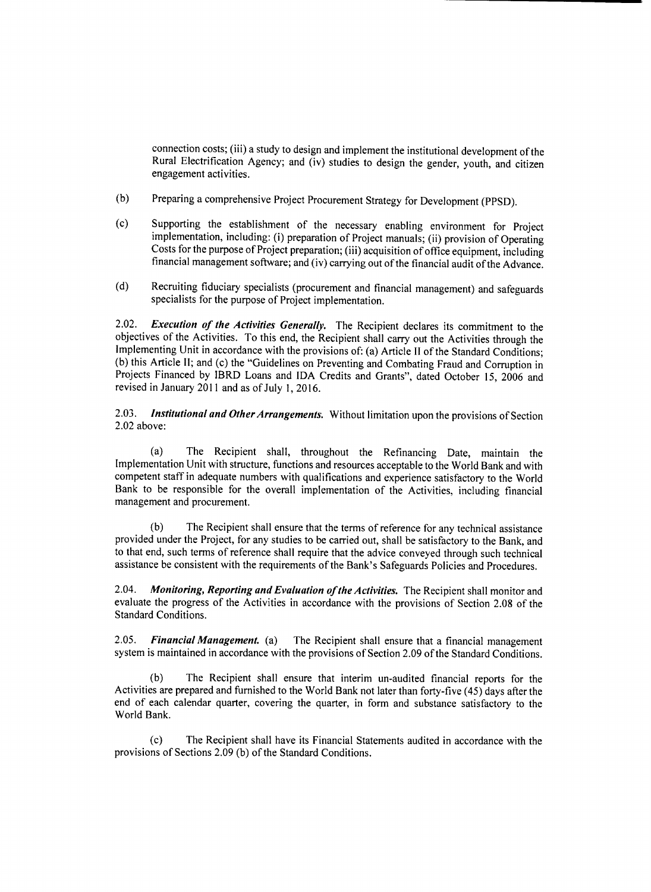connection costs; (iii) a study to design and implement the institutional development of the Rural Electrification Agency; and (iv) studies to design the gender, youth, and citizen engagement activities.

- **(b)** Preparing a comprehensive Project Procurement Strategy for Development (PPSD).
- (c) Supporting the establishment of the necessary enabling environment for Project implementation, including: (i) preparation of Project manuals; (ii) provision of Operating Costs for the purpose of Project preparation; (i
- **(d)** Recruiting fiduciary specialists (procurement and financial management) and safeguards specialists for the purpose of Project implementation.

2.02. **Execution of the Activities Generally.** The Recipient declares its commitment to the objectives of the Activities. To this end, the Recipient shall carry out the Activities through the Implementing Unit in accordance with the provisions of: (a) Article II of the Standard Conditions: (b) this Article II; and (c) the "Guidelines on Preventing and Combating Fraud and Corruption in Projects Financed by IBRD Loans and IDA Credits and Grants", dated October 15, 2006 and revised in January 2011 and as of July **1, 2016.**

*2.03.* **Institutional and Other Arrangements.** Without limitation upon the provisions of Section 2.02 above:

(a) The Recipient shall, throughout the Refinancing Date, maintain the Implementation Unit with structure, functions and resources acceptable to the World Bank and with competent staff in adequate numbers with qualifications and experience satisfactory to the World Bank to be responsible for the overall implementation of the Activities, including financial management and procurement.

**(b)** The Recipient shall ensure that the terms of reference for any technical assistance provided under the Project, for any studies to be carried out, shall be satisfactory to the Bank, and to that end, such terms of reference shall require that the advice conveyed through such technical assistance be consistent with the requirements of the Bank's Safeguards Policies and Procedures.

2.04. **Monitoring, Reporting and Evaluation of the Activities.** The Recipient shall monitor and evaluate the progress of the Activities in accordance with the provisions of Section **2.08** of the Standard Conditions.

**2.05. Financial Management.** *(a)* The Recipient shall ensure that a financial management system is maintained in accordance with the provisions of Section **2.09** of the Standard Conditions.

**(b)** The Recipient shall ensure that interim un-audited financial reports for the Activities are prepared and furnished to the World Bank not later than forty-five (45) days after the end of each calendar quarter, covering the quarter, in form and substance satisfactory to the World Bank.

**(c)** The Recipient shall have its Financial Statements audited in accordance with the provisions of Sections **2.09 (b)** of the Standard Conditions.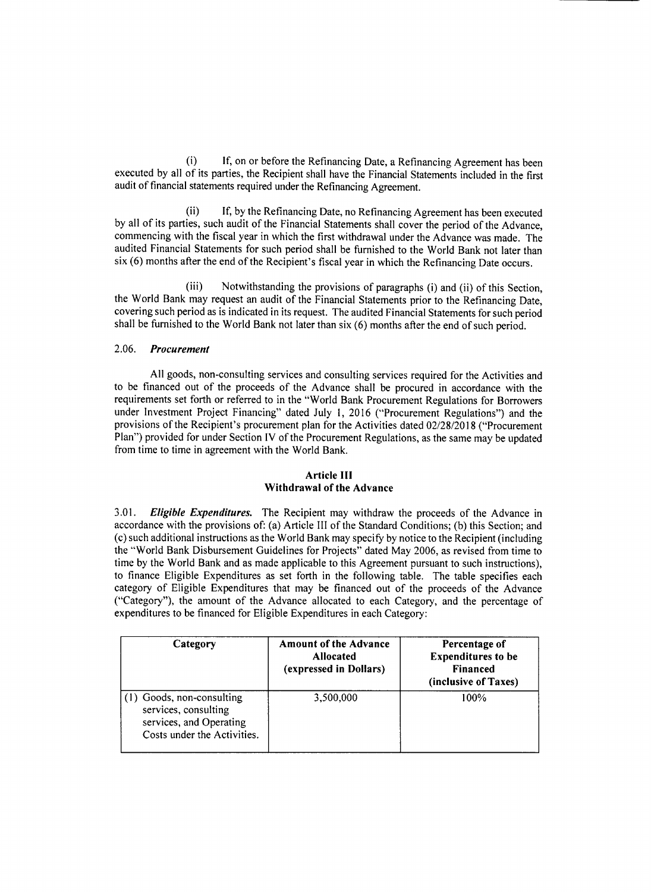(i) **If,** on or before the Refinancing Date, a Refinancing Agreement has been executed **by** all of its parties, the Recipient shall have the Financial Statements included in the first audit of financial statements required under the Refinancing Agreement.

If, by the Refinancing Date, no Refinancing Agreement has been executed **by** all of its parties, such audit of the Financial Statements shall cover the period of the Advance, commencing with the fiscal year in which the first withdrawal under the Advance was made. The audited Financial Statements for such period shall be furnished to the World Bank not later than six **(6)** months after the end of the Recipient's fiscal year in which the Refinancing Date occurs.

(iii) Notwithstanding the provisions of paragraphs (i) and (ii) of this Section, the World Bank may request an audit of the Financial Statements prior to the Refinancing Date. covering such period as is indicated in its request. The audited Financial Statements for such period shall be furnished to the World Bank not later than six **(6)** months after the end of such period.

## *2.06. Procurement*

**All** goods, non-consulting services and consulting services required for the Activities and to be financed out of the proceeds of the Advance shall be procured in accordance with the requirements set forth or referred to in the "World Bank Procurement Regulations for Borrowers under Investment Project Financing" dated July **1, 2016** ("Procurement Regulations") and the provisions of the Recipient's procurement plan for the Activities dated **02/28/2018** ("Procurement Plan") provided for under Section IV of the Procurement Regulations, as the same may be updated from time to time in agreement with the World Bank.

## **Article III Withdrawal of the Advance**

**3.01.** *Eligible Expenditures.* **The Recipient** may withdraw the proceeds of the Advance in accordance with the provisions of: (a) Article **III** of the Standard Conditions; **(b)** this Section; and (c) such additional instructions as the World Bank may specify **by** notice to the Recipient (including the "World Bank Disbursement Guidelines for Projects" dated May **2006,** as revised from time to time **by** the World Bank and as made applicable to this Agreement pursuant to such instructions), to finance Eligible Expenditures as set forth in the following table. The table specifies each category of Eligible Expenditures that may be financed out of the proceeds of the Advance ("Category"), the amount of the Advance allocated to each Category, and the percentage of expenditures to be financed for Eligible Expenditures in each Category:

| Category                                                                                                    | <b>Amount of the Advance</b><br><b>Allocated</b><br>(expressed in Dollars) | Percentage of<br><b>Expenditures to be</b><br><b>Financed</b><br>(inclusive of Taxes) |
|-------------------------------------------------------------------------------------------------------------|----------------------------------------------------------------------------|---------------------------------------------------------------------------------------|
| (1) Goods, non-consulting<br>services, consulting<br>services, and Operating<br>Costs under the Activities. | 3,500,000                                                                  | 100%                                                                                  |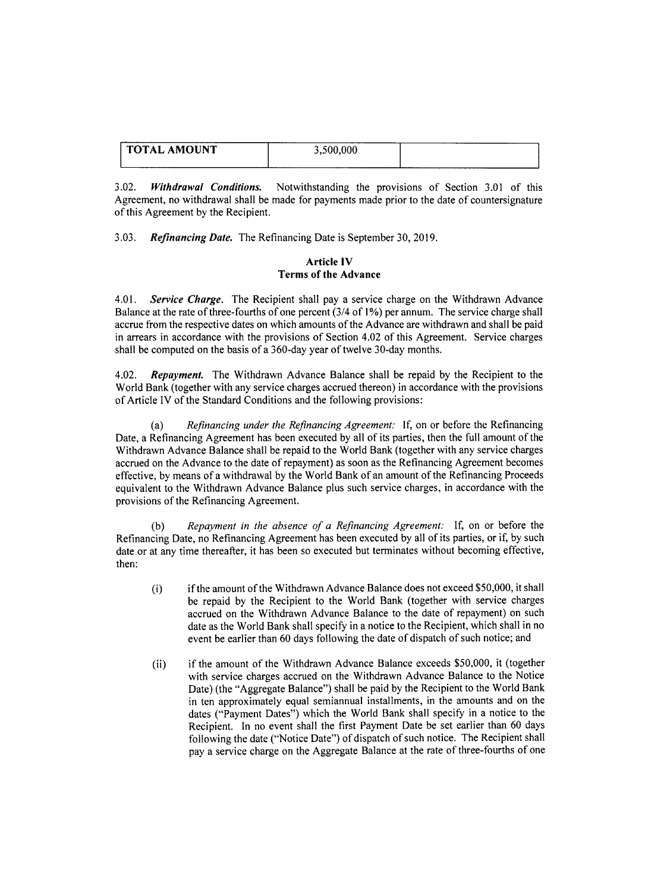| <b>TOTAL AMOUNT</b> | 3,500,000 |  |
|---------------------|-----------|--|
|                     |           |  |

3.02. *Withdrawal Conditions.* Notwithstanding the provisions of Section **3.01** of this Agreement, no withdrawal shall be made for payments made prior to the date of countersignature of this Agreement **by** the Recipient.

**3.03.** *Refinancing Date.* The Refinancing Date is September **30, 2019.**

## **Article IV Terms of the Advance**

4.01. **Service Charge.** The Recipient shall pay a service charge on the Withdrawn Advance Balance at the rate of three-fourths of one percent (3/4 of **1%)** per annum. The service charge shall accrue from the respective dates on which amounts of the Advance are withdrawn and shall be paid in arrears in accordance with the provisions of Section 4.02 of this Agreement. Service charges shall be computed on the basis of a 360-day year of twelve 30-day months.

4.02. *Repayment.* The Withdrawn Advance Balance shall be repaid **by** the Recipient to the World Bank (together with any service charges accrued thereon) in accordance with the provisions of Article IV of the Standard Conditions and the following provisions:

Refinancing under the Refinancing Agreement: If, on or before the Refinancing Date, a Refinancing Agreement has been executed **by** all of its parties, then the full amount of the Withdrawn Advance Balance shall be repaid to the World Bank (together with any service charges accrued on the Advance to the date of repayment) as soon as the Refinancing Agreement becomes effective, **by** means of a withdrawal **by** the World Bank of an amount of the Refinancing Proceeds equivalent to the Withdrawn Advance Balance plus such service charges, in accordance with the provisions of the Refinancing Agreement.

**(b)** *Repayment in the absence of a Refinancing Agreement:* **If,** on or before the Refinancing Date, no Refinancing Agreement has been executed **by** all of its parties, or if, **by** such date or at any time thereafter, it has been so executed but terminates without becoming effective, then:

- (i) if the amount of the Withdrawn Advance Balance does not exceed **\$50,000,** it shall be repaid **by** the Recipient to the World Bank (together with service charges accrued on the Withdrawn Advance Balance to the date of repayment) on such date as the World Bank shall specify in a notice to the Recipient, which shall in no event be earlier than **60** days following the date of dispatch of such notice; and
- (ii) if the amount of the Withdrawn Advance Balance exceeds **\$50,000,** it (together with service charges accrued on the Withdrawn Advance Balance to the Notice Date) (the "Aggregate Balance") shall be paid **by** the Recipient to the World Bank in ten approximately equal semiannual installments, in the amounts and on the dates ("Payment Dates") which the World Bank shall specify in a notice to the Recipient. In no event shall the first Payment Date be set earlier than **60** days following the date ("Notice Date") of dispatch of such notice. The Recipient shall pay a service charge on the Aggregate Balance at the rate of three-fourths of one